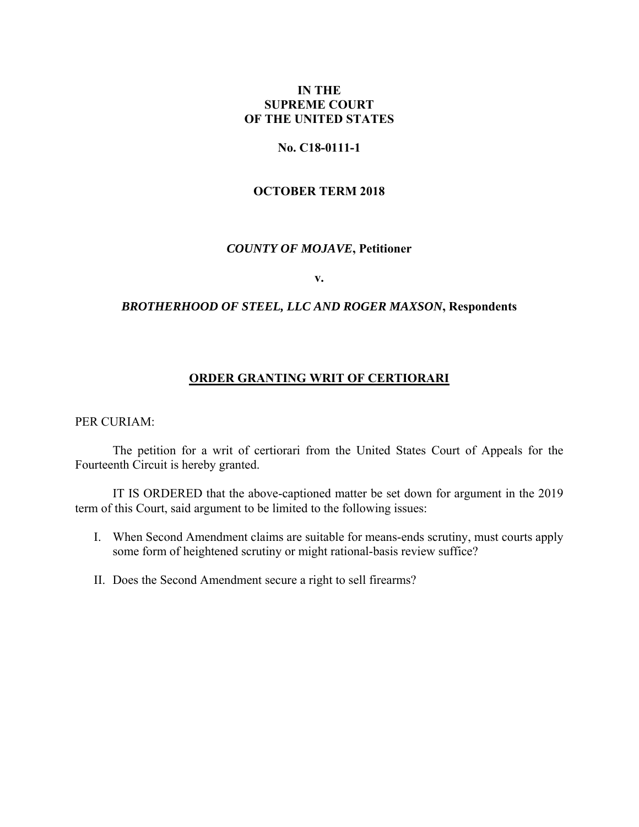## **IN THE SUPREME COURT OF THE UNITED STATES**

### **No. C18-0111-1**

### **OCTOBER TERM 2018**

## *COUNTY OF MOJAVE***, Petitioner**

**v.** 

### *BROTHERHOOD OF STEEL, LLC AND ROGER MAXSON***, Respondents**

## **ORDER GRANTING WRIT OF CERTIORARI**

PER CURIAM:

 The petition for a writ of certiorari from the United States Court of Appeals for the Fourteenth Circuit is hereby granted.

 IT IS ORDERED that the above-captioned matter be set down for argument in the 2019 term of this Court, said argument to be limited to the following issues:

- I. When Second Amendment claims are suitable for means-ends scrutiny, must courts apply some form of heightened scrutiny or might rational-basis review suffice?
- II. Does the Second Amendment secure a right to sell firearms?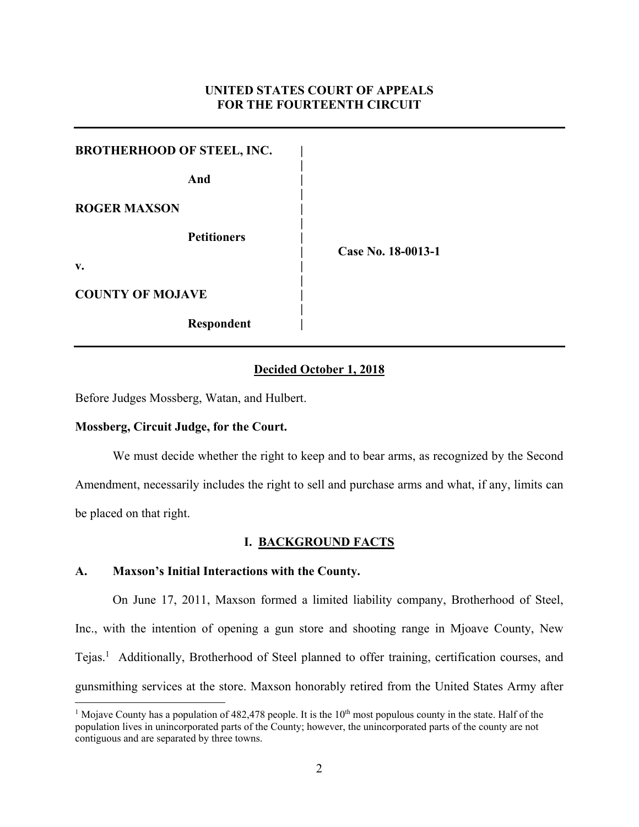## **UNITED STATES COURT OF APPEALS FOR THE FOURTEENTH CIRCUIT**

| <b>BROTHERHOOD OF STEEL, INC.</b> |                    |
|-----------------------------------|--------------------|
| And                               |                    |
| <b>ROGER MAXSON</b>               |                    |
| <b>Petitioners</b>                | Case No. 18-0013-1 |
| v.                                |                    |
| <b>COUNTY OF MOJAVE</b>           |                    |
| <b>Respondent</b>                 |                    |

### **Decided October 1, 2018**

Before Judges Mossberg, Watan, and Hulbert.

### **Mossberg, Circuit Judge, for the Court.**

 We must decide whether the right to keep and to bear arms, as recognized by the Second Amendment, necessarily includes the right to sell and purchase arms and what, if any, limits can be placed on that right.

### **I. BACKGROUND FACTS**

### **A. Maxson's Initial Interactions with the County.**

On June 17, 2011, Maxson formed a limited liability company, Brotherhood of Steel, Inc., with the intention of opening a gun store and shooting range in Mjoave County, New Tejas.<sup>1</sup> Additionally, Brotherhood of Steel planned to offer training, certification courses, and gunsmithing services at the store. Maxson honorably retired from the United States Army after

<sup>&</sup>lt;sup>1</sup> Mojave County has a population of 482,478 people. It is the  $10^{th}$  most populous county in the state. Half of the population lives in unincorporated parts of the County; however, the unincorporated parts of the county are not contiguous and are separated by three towns.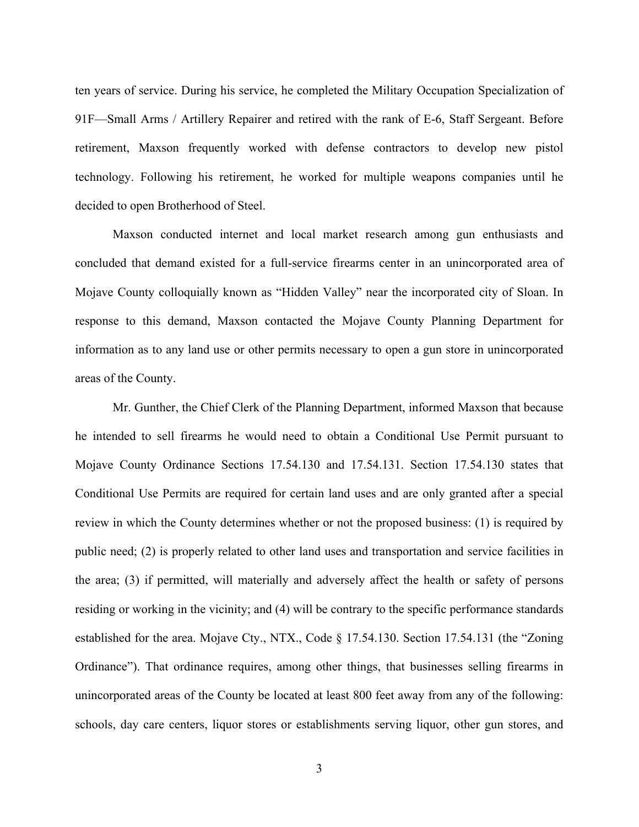ten years of service. During his service, he completed the Military Occupation Specialization of 91F—Small Arms / Artillery Repairer and retired with the rank of E-6, Staff Sergeant. Before retirement, Maxson frequently worked with defense contractors to develop new pistol technology. Following his retirement, he worked for multiple weapons companies until he decided to open Brotherhood of Steel.

Maxson conducted internet and local market research among gun enthusiasts and concluded that demand existed for a full-service firearms center in an unincorporated area of Mojave County colloquially known as "Hidden Valley" near the incorporated city of Sloan. In response to this demand, Maxson contacted the Mojave County Planning Department for information as to any land use or other permits necessary to open a gun store in unincorporated areas of the County.

Mr. Gunther, the Chief Clerk of the Planning Department, informed Maxson that because he intended to sell firearms he would need to obtain a Conditional Use Permit pursuant to Mojave County Ordinance Sections 17.54.130 and 17.54.131. Section 17.54.130 states that Conditional Use Permits are required for certain land uses and are only granted after a special review in which the County determines whether or not the proposed business: (1) is required by public need; (2) is properly related to other land uses and transportation and service facilities in the area; (3) if permitted, will materially and adversely affect the health or safety of persons residing or working in the vicinity; and (4) will be contrary to the specific performance standards established for the area. Mojave Cty., NTX., Code § 17.54.130. Section 17.54.131 (the "Zoning Ordinance"). That ordinance requires, among other things, that businesses selling firearms in unincorporated areas of the County be located at least 800 feet away from any of the following: schools, day care centers, liquor stores or establishments serving liquor, other gun stores, and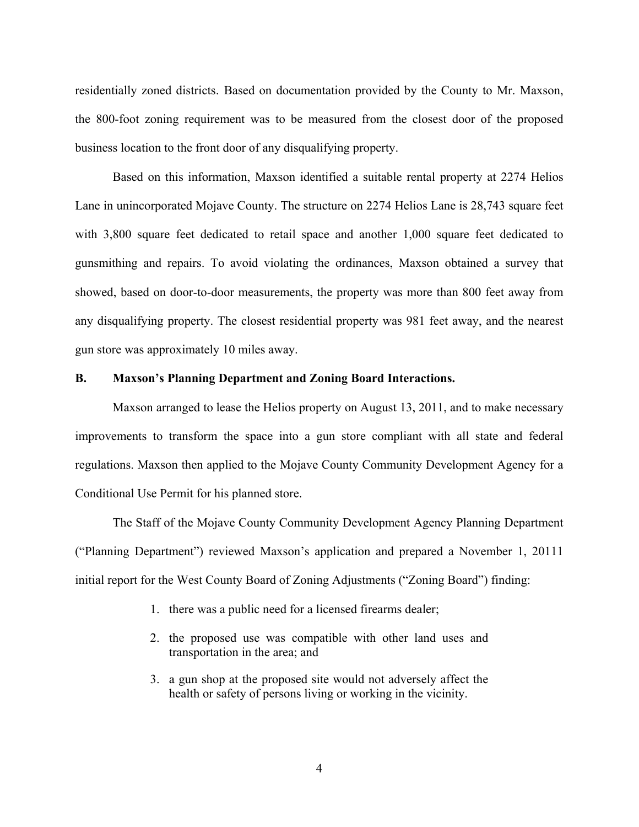residentially zoned districts. Based on documentation provided by the County to Mr. Maxson, the 800-foot zoning requirement was to be measured from the closest door of the proposed business location to the front door of any disqualifying property.

Based on this information, Maxson identified a suitable rental property at 2274 Helios Lane in unincorporated Mojave County. The structure on 2274 Helios Lane is 28,743 square feet with 3,800 square feet dedicated to retail space and another 1,000 square feet dedicated to gunsmithing and repairs. To avoid violating the ordinances, Maxson obtained a survey that showed, based on door-to-door measurements, the property was more than 800 feet away from any disqualifying property. The closest residential property was 981 feet away, and the nearest gun store was approximately 10 miles away.

## **B. Maxson's Planning Department and Zoning Board Interactions.**

Maxson arranged to lease the Helios property on August 13, 2011, and to make necessary improvements to transform the space into a gun store compliant with all state and federal regulations. Maxson then applied to the Mojave County Community Development Agency for a Conditional Use Permit for his planned store.

The Staff of the Mojave County Community Development Agency Planning Department ("Planning Department") reviewed Maxson's application and prepared a November 1, 20111 initial report for the West County Board of Zoning Adjustments ("Zoning Board") finding:

- 1. there was a public need for a licensed firearms dealer;
- 2. the proposed use was compatible with other land uses and transportation in the area; and
- 3. a gun shop at the proposed site would not adversely affect the health or safety of persons living or working in the vicinity.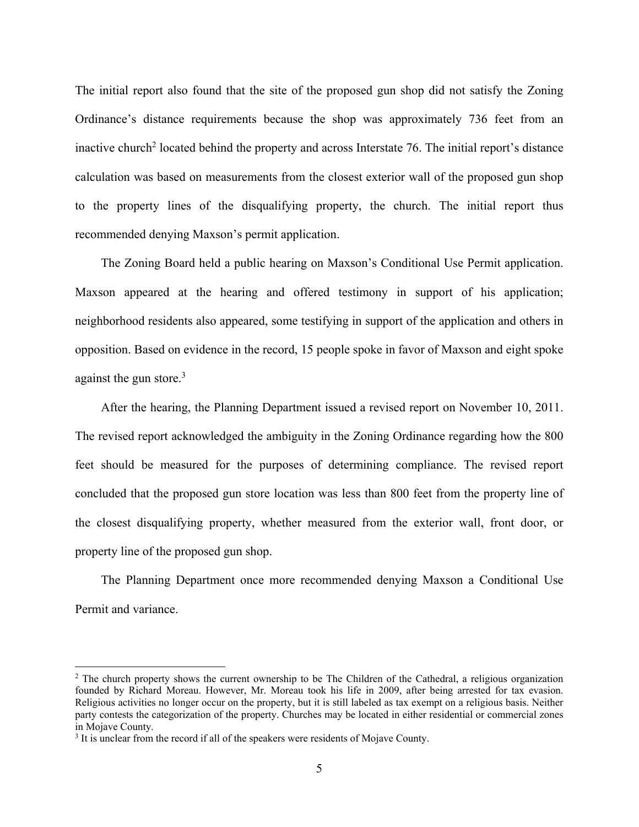The initial report also found that the site of the proposed gun shop did not satisfy the Zoning Ordinance's distance requirements because the shop was approximately 736 feet from an inactive church<sup>2</sup> located behind the property and across Interstate 76. The initial report's distance calculation was based on measurements from the closest exterior wall of the proposed gun shop to the property lines of the disqualifying property, the church. The initial report thus recommended denying Maxson's permit application.

The Zoning Board held a public hearing on Maxson's Conditional Use Permit application. Maxson appeared at the hearing and offered testimony in support of his application; neighborhood residents also appeared, some testifying in support of the application and others in opposition. Based on evidence in the record, 15 people spoke in favor of Maxson and eight spoke against the gun store. $3$ 

After the hearing, the Planning Department issued a revised report on November 10, 2011. The revised report acknowledged the ambiguity in the Zoning Ordinance regarding how the 800 feet should be measured for the purposes of determining compliance. The revised report concluded that the proposed gun store location was less than 800 feet from the property line of the closest disqualifying property, whether measured from the exterior wall, front door, or property line of the proposed gun shop.

The Planning Department once more recommended denying Maxson a Conditional Use Permit and variance.

<sup>&</sup>lt;sup>2</sup> The church property shows the current ownership to be The Children of the Cathedral, a religious organization founded by Richard Moreau. However, Mr. Moreau took his life in 2009, after being arrested for tax evasion. Religious activities no longer occur on the property, but it is still labeled as tax exempt on a religious basis. Neither party contests the categorization of the property. Churches may be located in either residential or commercial zones in Mojave County.

 $3$  It is unclear from the record if all of the speakers were residents of Mojave County.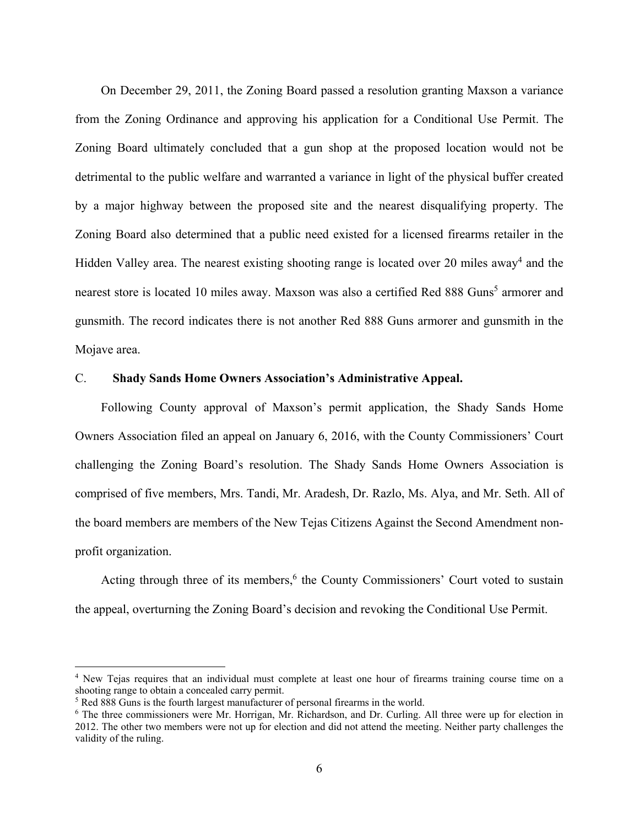On December 29, 2011, the Zoning Board passed a resolution granting Maxson a variance from the Zoning Ordinance and approving his application for a Conditional Use Permit. The Zoning Board ultimately concluded that a gun shop at the proposed location would not be detrimental to the public welfare and warranted a variance in light of the physical buffer created by a major highway between the proposed site and the nearest disqualifying property. The Zoning Board also determined that a public need existed for a licensed firearms retailer in the Hidden Valley area. The nearest existing shooting range is located over 20 miles away<sup>4</sup> and the nearest store is located 10 miles away. Maxson was also a certified Red 888 Guns<sup>5</sup> armorer and gunsmith. The record indicates there is not another Red 888 Guns armorer and gunsmith in the Mojave area.

### C. **Shady Sands Home Owners Association's Administrative Appeal.**

Following County approval of Maxson's permit application, the Shady Sands Home Owners Association filed an appeal on January 6, 2016, with the County Commissioners' Court challenging the Zoning Board's resolution. The Shady Sands Home Owners Association is comprised of five members, Mrs. Tandi, Mr. Aradesh, Dr. Razlo, Ms. Alya, and Mr. Seth. All of the board members are members of the New Tejas Citizens Against the Second Amendment nonprofit organization.

Acting through three of its members,<sup>6</sup> the County Commissioners' Court voted to sustain the appeal, overturning the Zoning Board's decision and revoking the Conditional Use Permit.

<sup>4</sup> New Tejas requires that an individual must complete at least one hour of firearms training course time on a shooting range to obtain a concealed carry permit.

<sup>&</sup>lt;sup>5</sup> Red 888 Guns is the fourth largest manufacturer of personal firearms in the world.

<sup>6</sup> The three commissioners were Mr. Horrigan, Mr. Richardson, and Dr. Curling. All three were up for election in 2012. The other two members were not up for election and did not attend the meeting. Neither party challenges the validity of the ruling.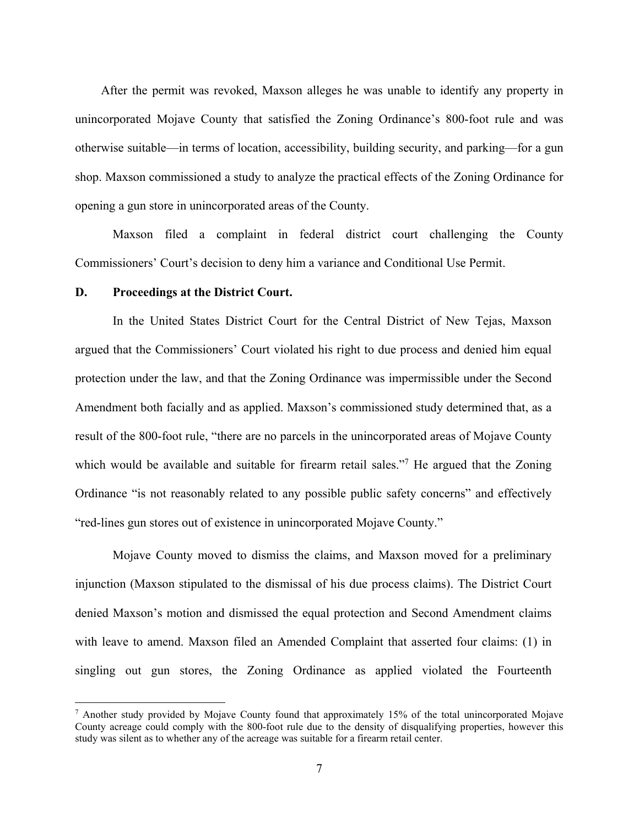After the permit was revoked, Maxson alleges he was unable to identify any property in unincorporated Mojave County that satisfied the Zoning Ordinance's 800-foot rule and was otherwise suitable—in terms of location, accessibility, building security, and parking—for a gun shop. Maxson commissioned a study to analyze the practical effects of the Zoning Ordinance for opening a gun store in unincorporated areas of the County.

Maxson filed a complaint in federal district court challenging the County Commissioners' Court's decision to deny him a variance and Conditional Use Permit.

#### **D. Proceedings at the District Court.**

In the United States District Court for the Central District of New Tejas, Maxson argued that the Commissioners' Court violated his right to due process and denied him equal protection under the law, and that the Zoning Ordinance was impermissible under the Second Amendment both facially and as applied. Maxson's commissioned study determined that, as a result of the 800-foot rule, "there are no parcels in the unincorporated areas of Mojave County which would be available and suitable for firearm retail sales."<sup>7</sup> He argued that the Zoning Ordinance "is not reasonably related to any possible public safety concerns" and effectively "red-lines gun stores out of existence in unincorporated Mojave County."

Mojave County moved to dismiss the claims, and Maxson moved for a preliminary injunction (Maxson stipulated to the dismissal of his due process claims). The District Court denied Maxson's motion and dismissed the equal protection and Second Amendment claims with leave to amend. Maxson filed an Amended Complaint that asserted four claims: (1) in singling out gun stores, the Zoning Ordinance as applied violated the Fourteenth

<sup>&</sup>lt;sup>7</sup> Another study provided by Mojave County found that approximately 15% of the total unincorporated Mojave County acreage could comply with the 800-foot rule due to the density of disqualifying properties, however this study was silent as to whether any of the acreage was suitable for a firearm retail center.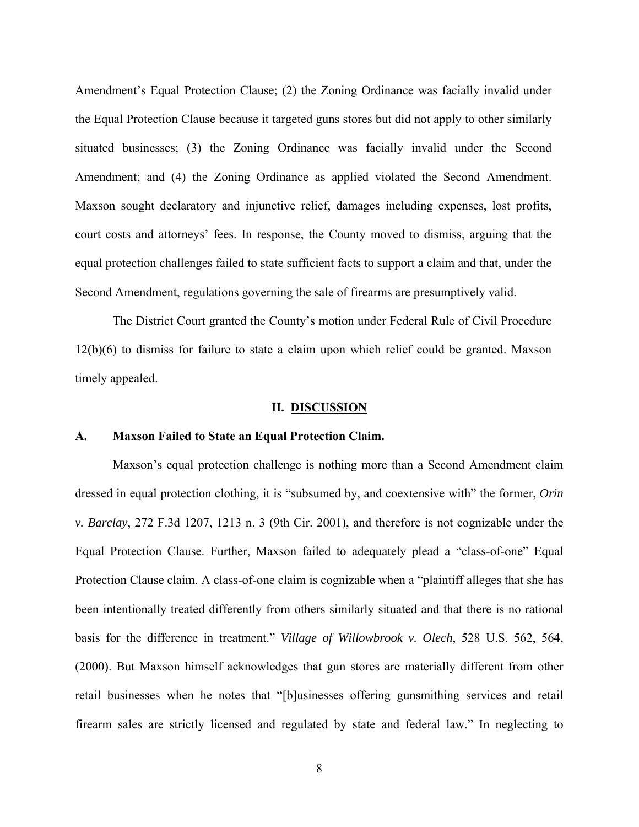Amendment's Equal Protection Clause; (2) the Zoning Ordinance was facially invalid under the Equal Protection Clause because it targeted guns stores but did not apply to other similarly situated businesses; (3) the Zoning Ordinance was facially invalid under the Second Amendment; and (4) the Zoning Ordinance as applied violated the Second Amendment. Maxson sought declaratory and injunctive relief, damages including expenses, lost profits, court costs and attorneys' fees. In response, the County moved to dismiss, arguing that the equal protection challenges failed to state sufficient facts to support a claim and that, under the Second Amendment, regulations governing the sale of firearms are presumptively valid.

The District Court granted the County's motion under Federal Rule of Civil Procedure 12(b)(6) to dismiss for failure to state a claim upon which relief could be granted. Maxson timely appealed.

#### **II. DISCUSSION**

#### **A. Maxson Failed to State an Equal Protection Claim.**

Maxson's equal protection challenge is nothing more than a Second Amendment claim dressed in equal protection clothing, it is "subsumed by, and coextensive with" the former, *Orin v. Barclay*, 272 F.3d 1207, 1213 n. 3 (9th Cir. 2001), and therefore is not cognizable under the Equal Protection Clause. Further, Maxson failed to adequately plead a "class-of-one" Equal Protection Clause claim. A class-of-one claim is cognizable when a "plaintiff alleges that she has been intentionally treated differently from others similarly situated and that there is no rational basis for the difference in treatment." *Village of Willowbrook v. Olech*, 528 U.S. 562, 564, (2000). But Maxson himself acknowledges that gun stores are materially different from other retail businesses when he notes that "[b]usinesses offering gunsmithing services and retail firearm sales are strictly licensed and regulated by state and federal law." In neglecting to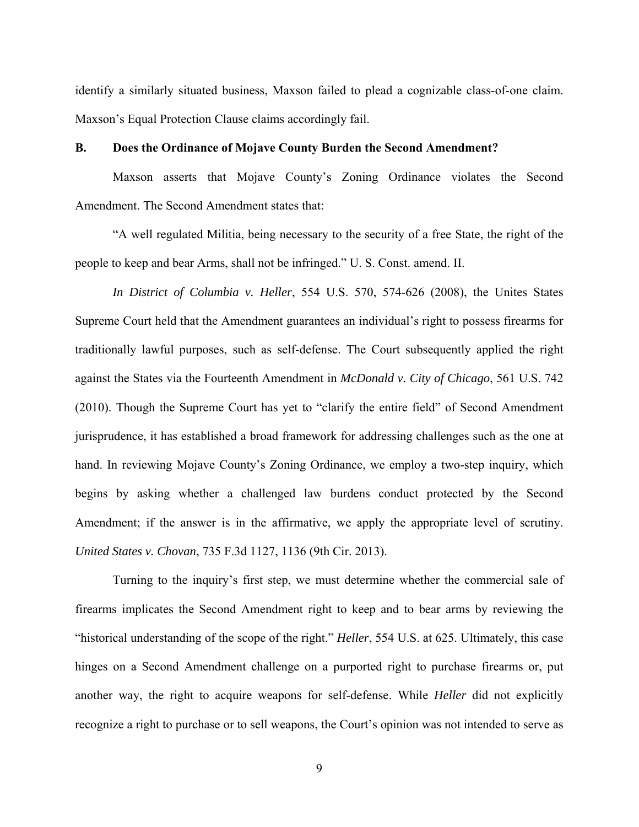identify a similarly situated business, Maxson failed to plead a cognizable class-of-one claim. Maxson's Equal Protection Clause claims accordingly fail.

#### **B. Does the Ordinance of Mojave County Burden the Second Amendment?**

Maxson asserts that Mojave County's Zoning Ordinance violates the Second Amendment. The Second Amendment states that:

"A well regulated Militia, being necessary to the security of a free State, the right of the people to keep and bear Arms, shall not be infringed." U. S. Const. amend. II.

*In District of Columbia v. Heller*, 554 U.S. 570, 574-626 (2008), the Unites States Supreme Court held that the Amendment guarantees an individual's right to possess firearms for traditionally lawful purposes, such as self-defense. The Court subsequently applied the right against the States via the Fourteenth Amendment in *McDonald v. City of Chicago*, 561 U.S. 742 (2010). Though the Supreme Court has yet to "clarify the entire field" of Second Amendment jurisprudence, it has established a broad framework for addressing challenges such as the one at hand. In reviewing Mojave County's Zoning Ordinance, we employ a two-step inquiry, which begins by asking whether a challenged law burdens conduct protected by the Second Amendment; if the answer is in the affirmative, we apply the appropriate level of scrutiny. *United States v. Chovan*, 735 F.3d 1127, 1136 (9th Cir. 2013).

Turning to the inquiry's first step, we must determine whether the commercial sale of firearms implicates the Second Amendment right to keep and to bear arms by reviewing the "historical understanding of the scope of the right." *Heller*, 554 U.S. at 625. Ultimately, this case hinges on a Second Amendment challenge on a purported right to purchase firearms or, put another way, the right to acquire weapons for self-defense. While *Heller* did not explicitly recognize a right to purchase or to sell weapons, the Court's opinion was not intended to serve as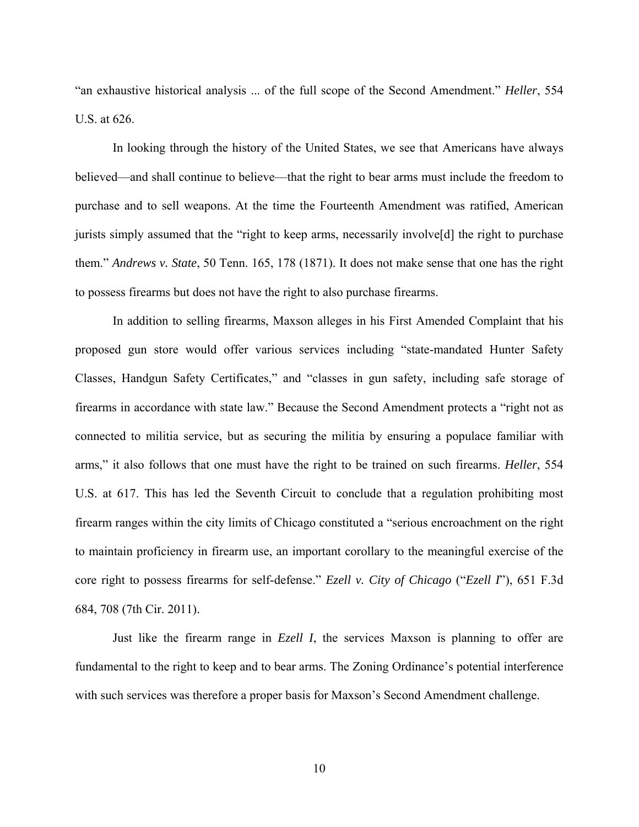"an exhaustive historical analysis ... of the full scope of the Second Amendment." *Heller*, 554 U.S. at 626.

In looking through the history of the United States, we see that Americans have always believed—and shall continue to believe—that the right to bear arms must include the freedom to purchase and to sell weapons. At the time the Fourteenth Amendment was ratified, American jurists simply assumed that the "right to keep arms, necessarily involve[d] the right to purchase them." *Andrews v. State*, 50 Tenn. 165, 178 (1871). It does not make sense that one has the right to possess firearms but does not have the right to also purchase firearms.

In addition to selling firearms, Maxson alleges in his First Amended Complaint that his proposed gun store would offer various services including "state-mandated Hunter Safety Classes, Handgun Safety Certificates," and "classes in gun safety, including safe storage of firearms in accordance with state law." Because the Second Amendment protects a "right not as connected to militia service, but as securing the militia by ensuring a populace familiar with arms," it also follows that one must have the right to be trained on such firearms. *Heller*, 554 U.S. at 617. This has led the Seventh Circuit to conclude that a regulation prohibiting most firearm ranges within the city limits of Chicago constituted a "serious encroachment on the right to maintain proficiency in firearm use, an important corollary to the meaningful exercise of the core right to possess firearms for self-defense." *Ezell v. City of Chicago* ("*Ezell I*"), 651 F.3d 684, 708 (7th Cir. 2011).

Just like the firearm range in *Ezell I*, the services Maxson is planning to offer are fundamental to the right to keep and to bear arms. The Zoning Ordinance's potential interference with such services was therefore a proper basis for Maxson's Second Amendment challenge.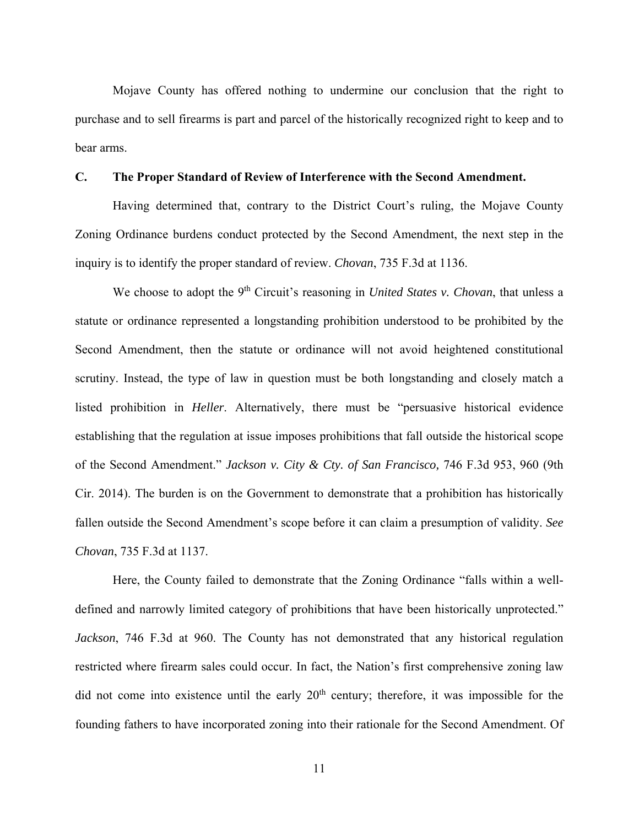Mojave County has offered nothing to undermine our conclusion that the right to purchase and to sell firearms is part and parcel of the historically recognized right to keep and to bear arms.

#### **C. The Proper Standard of Review of Interference with the Second Amendment.**

Having determined that, contrary to the District Court's ruling, the Mojave County Zoning Ordinance burdens conduct protected by the Second Amendment, the next step in the inquiry is to identify the proper standard of review. *Chovan*, 735 F.3d at 1136.

We choose to adopt the 9<sup>th</sup> Circuit's reasoning in *United States v. Chovan*, that unless a statute or ordinance represented a longstanding prohibition understood to be prohibited by the Second Amendment, then the statute or ordinance will not avoid heightened constitutional scrutiny. Instead, the type of law in question must be both longstanding and closely match a listed prohibition in *Heller*. Alternatively, there must be "persuasive historical evidence establishing that the regulation at issue imposes prohibitions that fall outside the historical scope of the Second Amendment." *Jackson v. City & Cty. of San Francisco,* 746 F.3d 953, 960 (9th Cir. 2014). The burden is on the Government to demonstrate that a prohibition has historically fallen outside the Second Amendment's scope before it can claim a presumption of validity. *See Chovan*, 735 F.3d at 1137.

Here, the County failed to demonstrate that the Zoning Ordinance "falls within a welldefined and narrowly limited category of prohibitions that have been historically unprotected." *Jackson*, 746 F.3d at 960. The County has not demonstrated that any historical regulation restricted where firearm sales could occur. In fact, the Nation's first comprehensive zoning law did not come into existence until the early  $20<sup>th</sup>$  century; therefore, it was impossible for the founding fathers to have incorporated zoning into their rationale for the Second Amendment. Of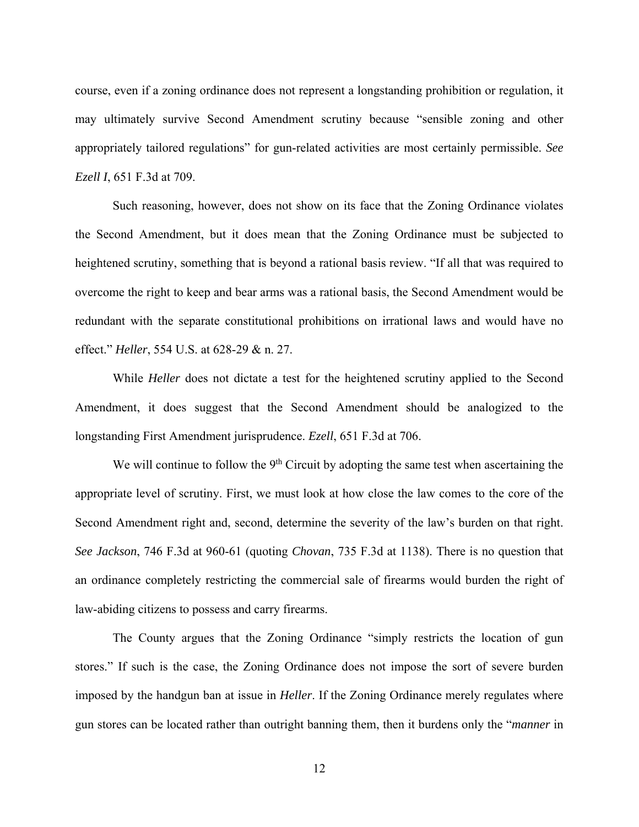course, even if a zoning ordinance does not represent a longstanding prohibition or regulation, it may ultimately survive Second Amendment scrutiny because "sensible zoning and other appropriately tailored regulations" for gun-related activities are most certainly permissible. *See Ezell I*, 651 F.3d at 709.

Such reasoning, however, does not show on its face that the Zoning Ordinance violates the Second Amendment, but it does mean that the Zoning Ordinance must be subjected to heightened scrutiny, something that is beyond a rational basis review. "If all that was required to overcome the right to keep and bear arms was a rational basis, the Second Amendment would be redundant with the separate constitutional prohibitions on irrational laws and would have no effect." *Heller*, 554 U.S. at 628-29 & n. 27.

While *Heller* does not dictate a test for the heightened scrutiny applied to the Second Amendment, it does suggest that the Second Amendment should be analogized to the longstanding First Amendment jurisprudence. *Ezell*, 651 F.3d at 706.

We will continue to follow the  $9<sup>th</sup>$  Circuit by adopting the same test when ascertaining the appropriate level of scrutiny. First, we must look at how close the law comes to the core of the Second Amendment right and, second, determine the severity of the law's burden on that right. *See Jackson*, 746 F.3d at 960-61 (quoting *Chovan*, 735 F.3d at 1138). There is no question that an ordinance completely restricting the commercial sale of firearms would burden the right of law-abiding citizens to possess and carry firearms.

The County argues that the Zoning Ordinance "simply restricts the location of gun stores." If such is the case, the Zoning Ordinance does not impose the sort of severe burden imposed by the handgun ban at issue in *Heller*. If the Zoning Ordinance merely regulates where gun stores can be located rather than outright banning them, then it burdens only the "*manner* in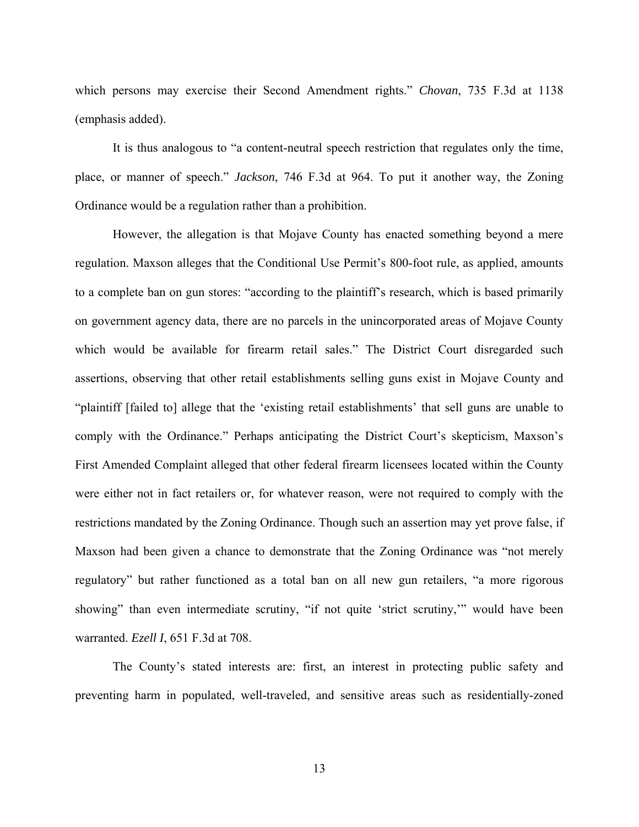which persons may exercise their Second Amendment rights." *Chovan*, 735 F.3d at 1138 (emphasis added).

It is thus analogous to "a content-neutral speech restriction that regulates only the time, place, or manner of speech." *Jackson*, 746 F.3d at 964. To put it another way, the Zoning Ordinance would be a regulation rather than a prohibition.

However, the allegation is that Mojave County has enacted something beyond a mere regulation. Maxson alleges that the Conditional Use Permit's 800-foot rule, as applied, amounts to a complete ban on gun stores: "according to the plaintiff's research, which is based primarily on government agency data, there are no parcels in the unincorporated areas of Mojave County which would be available for firearm retail sales." The District Court disregarded such assertions, observing that other retail establishments selling guns exist in Mojave County and "plaintiff [failed to] allege that the 'existing retail establishments' that sell guns are unable to comply with the Ordinance." Perhaps anticipating the District Court's skepticism, Maxson's First Amended Complaint alleged that other federal firearm licensees located within the County were either not in fact retailers or, for whatever reason, were not required to comply with the restrictions mandated by the Zoning Ordinance. Though such an assertion may yet prove false, if Maxson had been given a chance to demonstrate that the Zoning Ordinance was "not merely regulatory" but rather functioned as a total ban on all new gun retailers, "a more rigorous showing" than even intermediate scrutiny, "if not quite 'strict scrutiny,'" would have been warranted. *Ezell I*, 651 F.3d at 708.

The County's stated interests are: first, an interest in protecting public safety and preventing harm in populated, well-traveled, and sensitive areas such as residentially-zoned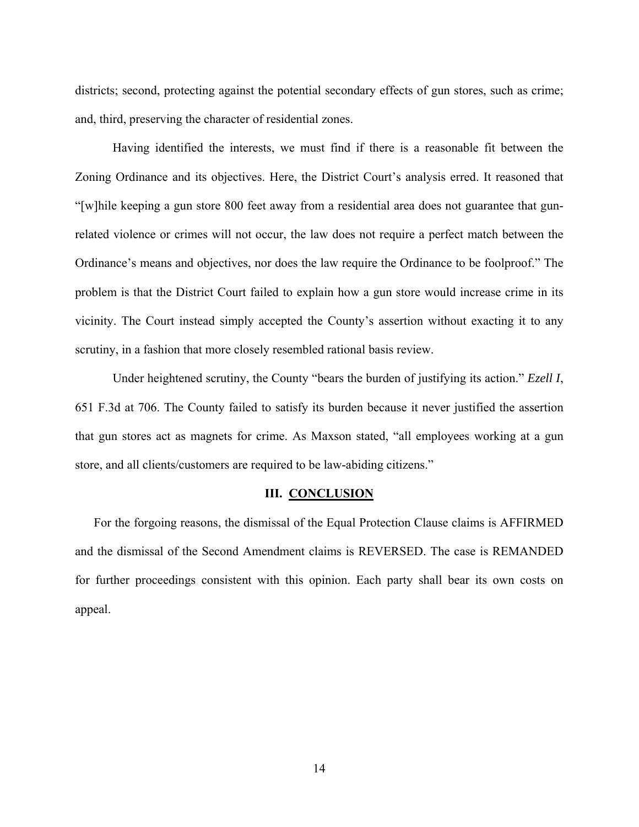districts; second, protecting against the potential secondary effects of gun stores, such as crime; and, third, preserving the character of residential zones.

Having identified the interests, we must find if there is a reasonable fit between the Zoning Ordinance and its objectives. Here, the District Court's analysis erred. It reasoned that "[w]hile keeping a gun store 800 feet away from a residential area does not guarantee that gunrelated violence or crimes will not occur, the law does not require a perfect match between the Ordinance's means and objectives, nor does the law require the Ordinance to be foolproof." The problem is that the District Court failed to explain how a gun store would increase crime in its vicinity. The Court instead simply accepted the County's assertion without exacting it to any scrutiny, in a fashion that more closely resembled rational basis review.

Under heightened scrutiny, the County "bears the burden of justifying its action." *Ezell I*, 651 F.3d at 706. The County failed to satisfy its burden because it never justified the assertion that gun stores act as magnets for crime. As Maxson stated, "all employees working at a gun store, and all clients/customers are required to be law-abiding citizens."

#### **III. CONCLUSION**

For the forgoing reasons, the dismissal of the Equal Protection Clause claims is AFFIRMED and the dismissal of the Second Amendment claims is REVERSED. The case is REMANDED for further proceedings consistent with this opinion. Each party shall bear its own costs on appeal.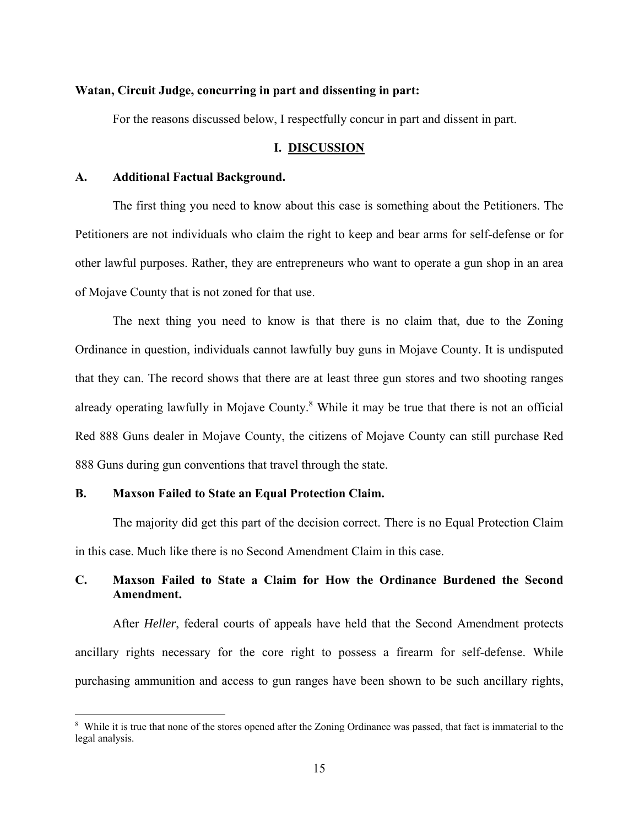### **Watan, Circuit Judge, concurring in part and dissenting in part:**

For the reasons discussed below, I respectfully concur in part and dissent in part.

#### **I. DISCUSSION**

#### **A. Additional Factual Background.**

The first thing you need to know about this case is something about the Petitioners. The Petitioners are not individuals who claim the right to keep and bear arms for self-defense or for other lawful purposes. Rather, they are entrepreneurs who want to operate a gun shop in an area of Mojave County that is not zoned for that use.

The next thing you need to know is that there is no claim that, due to the Zoning Ordinance in question, individuals cannot lawfully buy guns in Mojave County. It is undisputed that they can. The record shows that there are at least three gun stores and two shooting ranges already operating lawfully in Mojave County.<sup>8</sup> While it may be true that there is not an official Red 888 Guns dealer in Mojave County, the citizens of Mojave County can still purchase Red 888 Guns during gun conventions that travel through the state.

### **B. Maxson Failed to State an Equal Protection Claim.**

The majority did get this part of the decision correct. There is no Equal Protection Claim in this case. Much like there is no Second Amendment Claim in this case.

## **C. Maxson Failed to State a Claim for How the Ordinance Burdened the Second Amendment.**

After *Heller*, federal courts of appeals have held that the Second Amendment protects ancillary rights necessary for the core right to possess a firearm for self-defense. While purchasing ammunition and access to gun ranges have been shown to be such ancillary rights,

<sup>&</sup>lt;sup>8</sup> While it is true that none of the stores opened after the Zoning Ordinance was passed, that fact is immaterial to the legal analysis.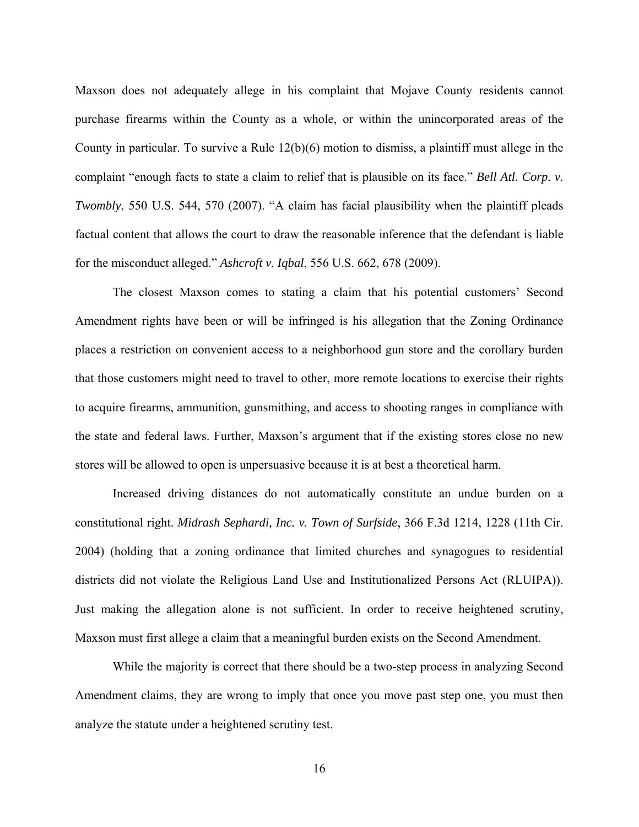Maxson does not adequately allege in his complaint that Mojave County residents cannot purchase firearms within the County as a whole, or within the unincorporated areas of the County in particular. To survive a Rule 12(b)(6) motion to dismiss, a plaintiff must allege in the complaint "enough facts to state a claim to relief that is plausible on its face." *Bell Atl. Corp. v. Twombly*, 550 U.S. 544, 570 (2007). "A claim has facial plausibility when the plaintiff pleads factual content that allows the court to draw the reasonable inference that the defendant is liable for the misconduct alleged." *Ashcroft v. Iqbal*, 556 U.S. 662, 678 (2009).

The closest Maxson comes to stating a claim that his potential customers' Second Amendment rights have been or will be infringed is his allegation that the Zoning Ordinance places a restriction on convenient access to a neighborhood gun store and the corollary burden that those customers might need to travel to other, more remote locations to exercise their rights to acquire firearms, ammunition, gunsmithing, and access to shooting ranges in compliance with the state and federal laws. Further, Maxson's argument that if the existing stores close no new stores will be allowed to open is unpersuasive because it is at best a theoretical harm.

Increased driving distances do not automatically constitute an undue burden on a constitutional right. *Midrash Sephardi, Inc. v. Town of Surfside*, 366 F.3d 1214, 1228 (11th Cir. 2004) (holding that a zoning ordinance that limited churches and synagogues to residential districts did not violate the Religious Land Use and Institutionalized Persons Act (RLUIPA)). Just making the allegation alone is not sufficient. In order to receive heightened scrutiny, Maxson must first allege a claim that a meaningful burden exists on the Second Amendment.

While the majority is correct that there should be a two-step process in analyzing Second Amendment claims, they are wrong to imply that once you move past step one, you must then analyze the statute under a heightened scrutiny test.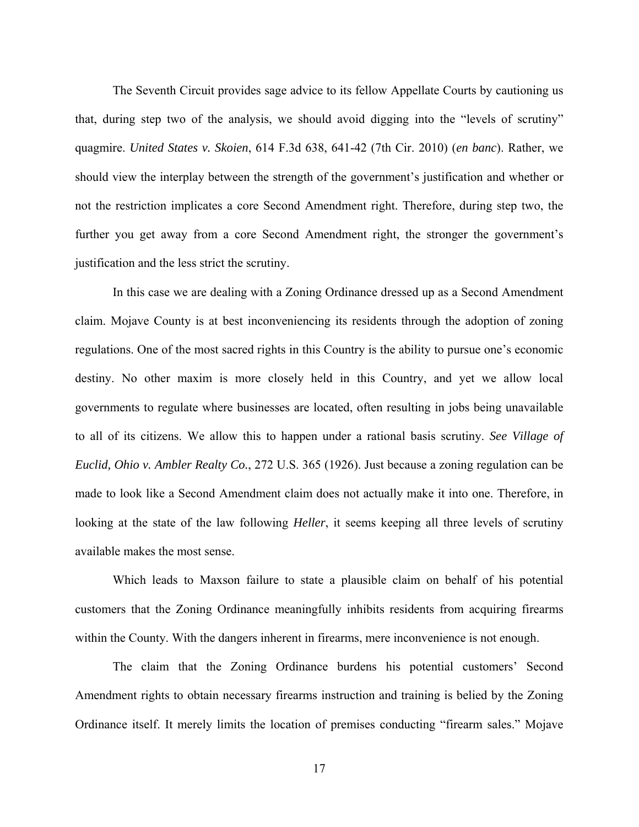The Seventh Circuit provides sage advice to its fellow Appellate Courts by cautioning us that, during step two of the analysis, we should avoid digging into the "levels of scrutiny" quagmire. *United States v. Skoien*, 614 F.3d 638, 641-42 (7th Cir. 2010) (*en banc*). Rather, we should view the interplay between the strength of the government's justification and whether or not the restriction implicates a core Second Amendment right. Therefore, during step two, the further you get away from a core Second Amendment right, the stronger the government's justification and the less strict the scrutiny.

In this case we are dealing with a Zoning Ordinance dressed up as a Second Amendment claim. Mojave County is at best inconveniencing its residents through the adoption of zoning regulations. One of the most sacred rights in this Country is the ability to pursue one's economic destiny. No other maxim is more closely held in this Country, and yet we allow local governments to regulate where businesses are located, often resulting in jobs being unavailable to all of its citizens. We allow this to happen under a rational basis scrutiny. *See Village of Euclid, Ohio v. Ambler Realty Co.*, 272 U.S. 365 (1926). Just because a zoning regulation can be made to look like a Second Amendment claim does not actually make it into one. Therefore, in looking at the state of the law following *Heller*, it seems keeping all three levels of scrutiny available makes the most sense.

Which leads to Maxson failure to state a plausible claim on behalf of his potential customers that the Zoning Ordinance meaningfully inhibits residents from acquiring firearms within the County. With the dangers inherent in firearms, mere inconvenience is not enough.

The claim that the Zoning Ordinance burdens his potential customers' Second Amendment rights to obtain necessary firearms instruction and training is belied by the Zoning Ordinance itself. It merely limits the location of premises conducting "firearm sales." Mojave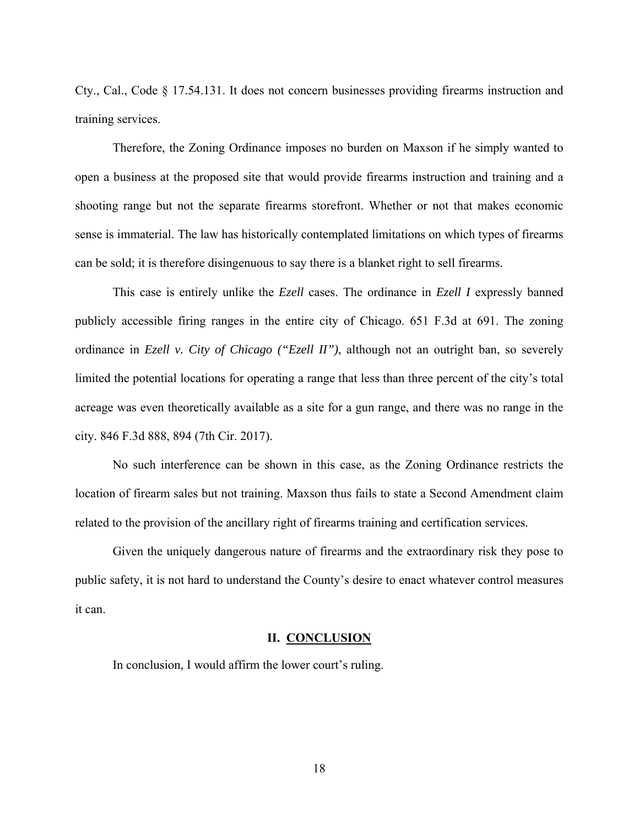Cty., Cal., Code § 17.54.131. It does not concern businesses providing firearms instruction and training services.

Therefore, the Zoning Ordinance imposes no burden on Maxson if he simply wanted to open a business at the proposed site that would provide firearms instruction and training and a shooting range but not the separate firearms storefront. Whether or not that makes economic sense is immaterial. The law has historically contemplated limitations on which types of firearms can be sold; it is therefore disingenuous to say there is a blanket right to sell firearms.

This case is entirely unlike the *Ezell* cases. The ordinance in *Ezell I* expressly banned publicly accessible firing ranges in the entire city of Chicago. 651 F.3d at 691. The zoning ordinance in *Ezell v. City of Chicago ("Ezell II")*, although not an outright ban, so severely limited the potential locations for operating a range that less than three percent of the city's total acreage was even theoretically available as a site for a gun range, and there was no range in the city. 846 F.3d 888, 894 (7th Cir. 2017).

No such interference can be shown in this case, as the Zoning Ordinance restricts the location of firearm sales but not training. Maxson thus fails to state a Second Amendment claim related to the provision of the ancillary right of firearms training and certification services.

Given the uniquely dangerous nature of firearms and the extraordinary risk they pose to public safety, it is not hard to understand the County's desire to enact whatever control measures it can.

### **II. CONCLUSION**

In conclusion, I would affirm the lower court's ruling.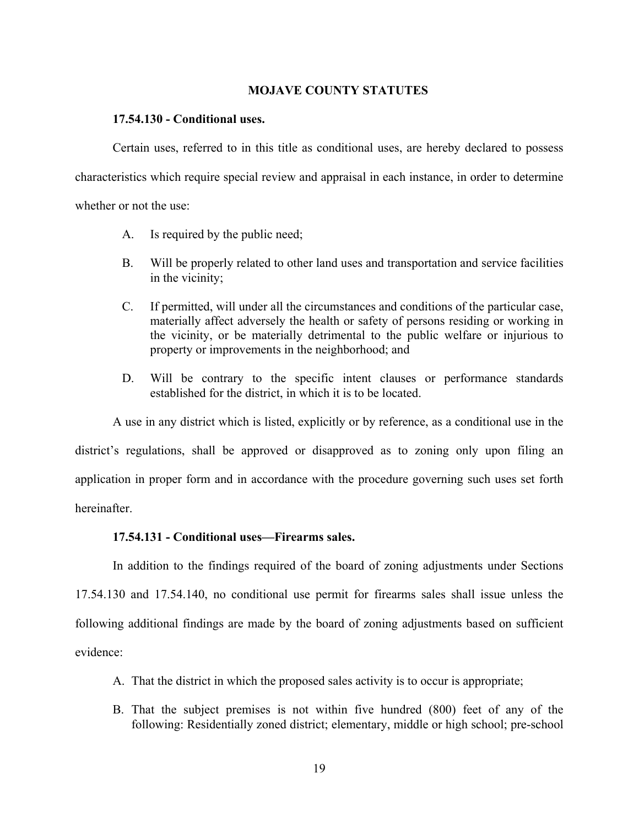#### **MOJAVE COUNTY STATUTES**

#### **17.54.130 - Conditional uses.**

Certain uses, referred to in this title as conditional uses, are hereby declared to possess characteristics which require special review and appraisal in each instance, in order to determine whether or not the use:

A. Is required by the public need;

- B. Will be properly related to other land uses and transportation and service facilities in the vicinity;
- C. If permitted, will under all the circumstances and conditions of the particular case, materially affect adversely the health or safety of persons residing or working in the vicinity, or be materially detrimental to the public welfare or injurious to property or improvements in the neighborhood; and
- D. Will be contrary to the specific intent clauses or performance standards established for the district, in which it is to be located.

A use in any district which is listed, explicitly or by reference, as a conditional use in the district's regulations, shall be approved or disapproved as to zoning only upon filing an application in proper form and in accordance with the procedure governing such uses set forth hereinafter.

### **17.54.131 - Conditional uses—Firearms sales.**

In addition to the findings required of the board of zoning adjustments under Sections 17.54.130 and 17.54.140, no conditional use permit for firearms sales shall issue unless the following additional findings are made by the board of zoning adjustments based on sufficient evidence:

- A. That the district in which the proposed sales activity is to occur is appropriate;
- B. That the subject premises is not within five hundred (800) feet of any of the following: Residentially zoned district; elementary, middle or high school; pre-school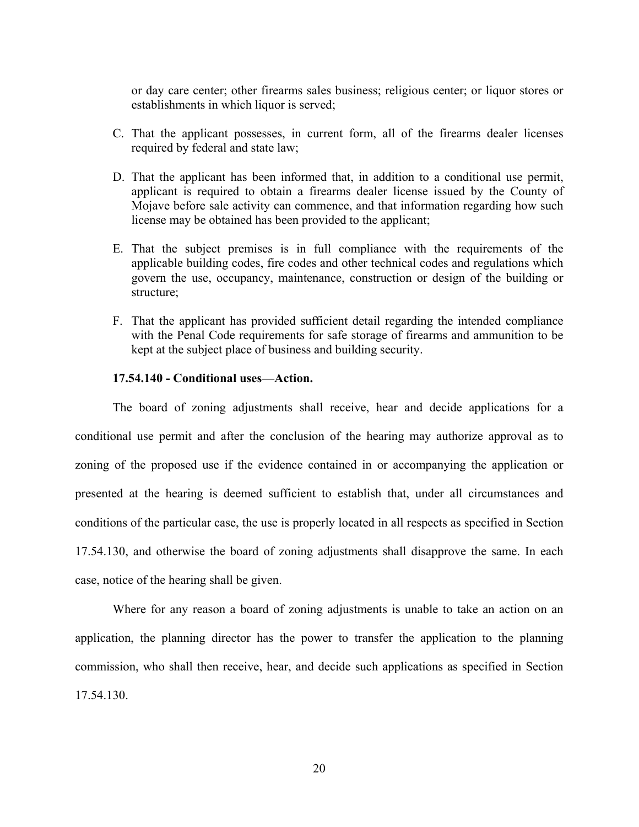or day care center; other firearms sales business; religious center; or liquor stores or establishments in which liquor is served;

- C. That the applicant possesses, in current form, all of the firearms dealer licenses required by federal and state law;
- D. That the applicant has been informed that, in addition to a conditional use permit, applicant is required to obtain a firearms dealer license issued by the County of Mojave before sale activity can commence, and that information regarding how such license may be obtained has been provided to the applicant;
- E. That the subject premises is in full compliance with the requirements of the applicable building codes, fire codes and other technical codes and regulations which govern the use, occupancy, maintenance, construction or design of the building or structure;
- F. That the applicant has provided sufficient detail regarding the intended compliance with the Penal Code requirements for safe storage of firearms and ammunition to be kept at the subject place of business and building security.

# **17.54.140 - Conditional uses—Action.**

The board of zoning adjustments shall receive, hear and decide applications for a conditional use permit and after the conclusion of the hearing may authorize approval as to zoning of the proposed use if the evidence contained in or accompanying the application or presented at the hearing is deemed sufficient to establish that, under all circumstances and conditions of the particular case, the use is properly located in all respects as specified in Section 17.54.130, and otherwise the board of zoning adjustments shall disapprove the same. In each case, notice of the hearing shall be given.

Where for any reason a board of zoning adjustments is unable to take an action on an application, the planning director has the power to transfer the application to the planning commission, who shall then receive, hear, and decide such applications as specified in Section 17.54.130.